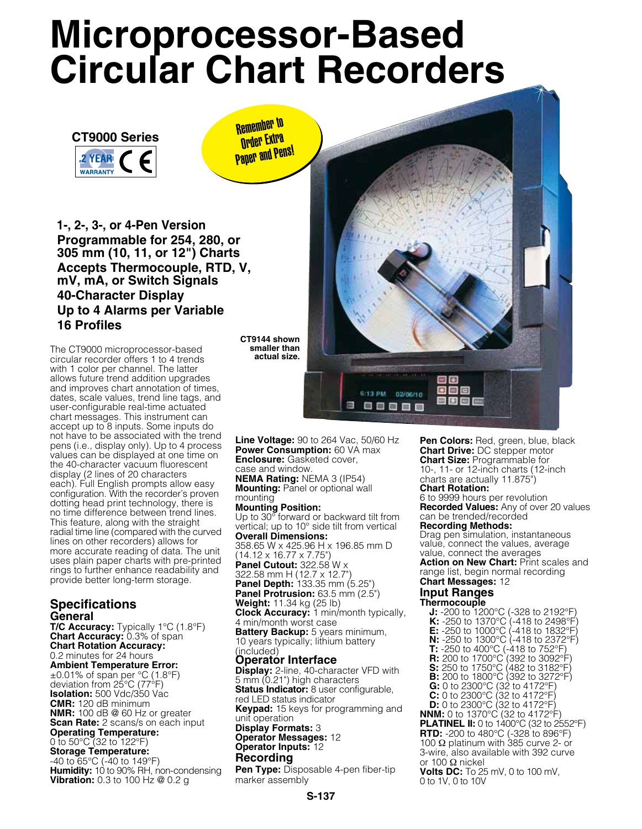# **Microprocessor-Based Circular Chart Recorders**



Remember to **Order Extra Paper and Pens!** 

 **1-, 2-, 3-, or 4-Pen Version Programmable for 254, 280, or 305 mm (10, 11, or 12") Charts Accepts Thermocouple, RTD, V, mV, mA, or Switch Signals 40-Character Display Up to 4 Alarms per Variable 16 Profiles**

The CT9000 microprocessor-based circular recorder offers 1 to 4 trends with 1 color per channel. The latter allows future trend addition upgrades and improves chart annotation of times, dates, scale values, trend line tags, and user-configurable real-time actuated chart messages. This instrument can accept up to 8 inputs. Some inputs do not have to be associated with the trend pens (i.e., display only). Up to 4 process values can be displayed at one time on the 40-character vacuum fluorescent display (2 lines of 20 characters each). Full English prompts allow easy configuration. With the recorder's proven dotting head print technology, there is no time difference between trend lines. This feature, along with the straight radial time line (compared with the curved lines on other recorders) allows for more accurate reading of data. The unit uses plain paper charts with pre-printed rings to further enhance readability and provide better long-term storage.

# **Specifications General**

**T/C Accuracy:** Typically 1°C (1.8°F) **Chart Accuracy:** 0.3% of span **Chart Rotation Accuracy:** 0.2 minutes for 24 hours **Ambient Temperature Error:**

±0.01% of span per °C (1.8°F) deviation from 25°C (77°F) **Isolation:** 500 Vdc/350 Vac **CMR:** 120 dB minimum **NMR:** 100 dB @ 60 Hz or greater **Scan Rate:** 2 scans/s on each input **Operating Temperature:** 0 to 50°C (32 to 122°F) **Storage Temperature:** -40 to 65°C (-40 to 149°F)

**Humidity:** 10 to 90% RH, non-condensing **Vibration:** 0.3 to 100 Hz @ 0.2 g

**CT9144 shown smaller than actual size.**

6:13 PM 02/06/10 Ш **90000** 

**Line Voltage:** 90 to 264 Vac, 50/60 Hz **Power Consumption:** 60 VA max **Enclosure:** Gasketed cover, case and window.

**NEMA Rating:** NEMA 3 (IP54) **Mounting:** Panel or optional wall mounting

#### **Mounting Position:**

Up to 30<sup>°</sup> forward or backward tilt from vertical; up to 10° side tilt from vertical **Overall Dimensions:**

358.65 W x 425.96 H x 196.85 mm D (14.12 x 16.77 x 7.75") **Panel Cutout:** 322.58 W x

322.58 mm H (12.7 x 12.7") **Panel Depth:** 133.35 mm (5.25")

**Panel Protrusion:** 63.5 mm (2.5") **Weight:** 11.34 kg (25 lb)

**Clock Accuracy:** 1 min/month typically, 4 min/month worst case

**Battery Backup:** 5 years minimum, 10 years typically; lithium battery (included)

# **Operator Interface**

**Display:** 2-line, 40-character VFD with 5 mm (0.21") high characters **Status Indicator:** 8 user configurable, red LED status indicator **Keypad:** 15 keys for programming and unit operation **Display Formats:** 3 **Operator Messages:** 12 **Operator Inputs:** 12

### **Recording**

**Pen Type:** Disposable 4-pen fiber-tip marker assembly

Pen Colors: Red, green, blue, black **Chart Drive:** DC stepper motor **Chart Size: Programmable for** 10-, 11- or 12-inch charts (12-inch charts are actually 11.875") **Chart Rotation:** 6 to 9999 hours per revolution **Recorded Values:** Any of over 20 values can be trended/recorded

# **Recording Methods:**

Drag pen simulation, instantaneous value, connect the values, average value, connect the averages

**Action on New Chart:** Print scales and range list, begin normal recording **Chart Messages:** 12

# **Input Ranges**

**Thermocouple J:** -200 to 1200°C (-328 to 2192°F) **K:** -250 to 1370°C (-418 to 2498°F) **E:** -250 to 1000°C (-418 to 1832°F) **N:** -250 to 1300°C (-418 to 2372°F) **T:** -250 to 400°C (-418 to 752°F) **R:** 200 to 1700°C (392 to 3092°F) **S:** 250 to 1750°C (482 to 3182°F) **B:** 200 to 1800°C (392 to 3272°F) **G:** 0 to 2300°C (32 to 4172°F) **C:** 0 to 2300°C (32 to 4172°F) **D:** 0 to 2300°C (32 to 4172°F) **NNM:** 0 to 1370°C (32 to 4172°F) **PLATINEL II:** 0 to 1400°C (32 to 2552°F) **RTD:** -200 to 480°C (-328 to 896°F) 100  $Ω$  platinum with 385 curve 2- or 3-wire, also available with 392 curve or 100 Ω nickel **Volts DC:** To 25 mV, 0 to 100 mV, 0 to 1V, 0 to 10V

**S-137**